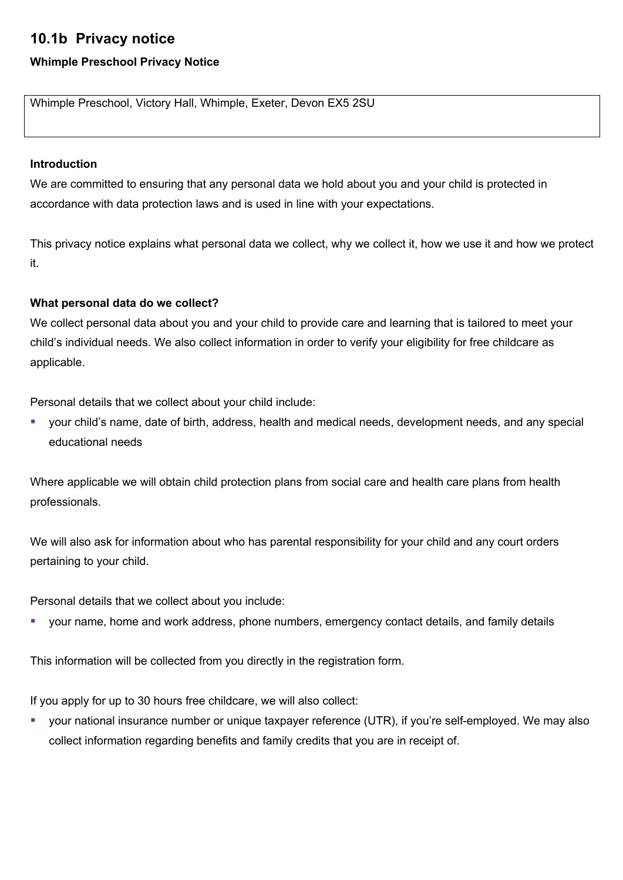# **10.1b Privacy notice**

## **Whimple Preschool Privacy Notice**

Whimple Preschool, Victory Hall, Whimple, Exeter, Devon EX5 2SU

## **Introduction**

We are committed to ensuring that any personal data we hold about you and your child is protected in accordance with data protection laws and is used in line with your expectations.

This privacy notice explains what personal data we collect, why we collect it, how we use it and how we protect it.

## **What personal data do we collect?**

We collect personal data about you and your child to provide care and learning that is tailored to meet your child's individual needs. We also collect information in order to verify your eligibility for free childcare as applicable.

Personal details that we collect about your child include:

§ your child's name, date of birth, address, health and medical needs, development needs, and any special educational needs

Where applicable we will obtain child protection plans from social care and health care plans from health professionals.

We will also ask for information about who has parental responsibility for your child and any court orders pertaining to your child.

Personal details that we collect about you include:

■ your name, home and work address, phone numbers, emergency contact details, and family details

This information will be collected from you directly in the registration form.

If you apply for up to 30 hours free childcare, we will also collect:

■ your national insurance number or unique taxpayer reference (UTR), if you're self-employed. We may also collect information regarding benefits and family credits that you are in receipt of.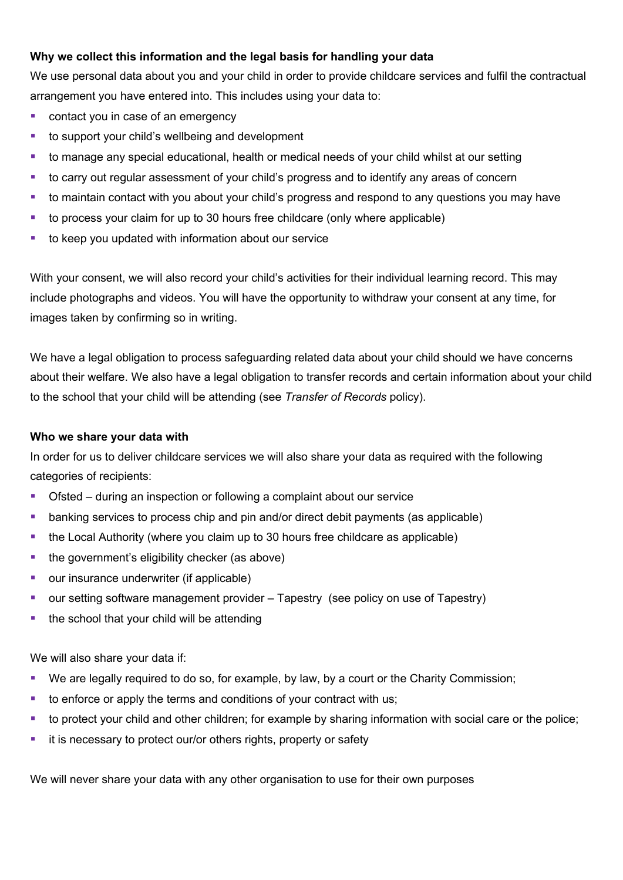## **Why we collect this information and the legal basis for handling your data**

We use personal data about you and your child in order to provide childcare services and fulfil the contractual arrangement you have entered into. This includes using your data to:

- contact you in case of an emergency
- to support your child's wellbeing and development
- to manage any special educational, health or medical needs of your child whilst at our setting
- to carry out regular assessment of your child's progress and to identify any areas of concern
- to maintain contact with you about your child's progress and respond to any questions you may have
- to process your claim for up to 30 hours free childcare (only where applicable)
- to keep you updated with information about our service

With your consent, we will also record your child's activities for their individual learning record. This may include photographs and videos. You will have the opportunity to withdraw your consent at any time, for images taken by confirming so in writing.

We have a legal obligation to process safeguarding related data about your child should we have concerns about their welfare. We also have a legal obligation to transfer records and certain information about your child to the school that your child will be attending (see *Transfer of Records* policy).

#### **Who we share your data with**

In order for us to deliver childcare services we will also share your data as required with the following categories of recipients:

- Ofsted during an inspection or following a complaint about our service
- banking services to process chip and pin and/or direct debit payments (as applicable)
- the Local Authority (where you claim up to 30 hours free childcare as applicable)
- the government's eligibility checker (as above)
- our insurance underwriter (if applicable)
- our setting software management provider Tapestry (see policy on use of Tapestry)
- the school that your child will be attending

We will also share your data if:

- We are legally required to do so, for example, by law, by a court or the Charity Commission;
- to enforce or apply the terms and conditions of your contract with us;
- to protect your child and other children; for example by sharing information with social care or the police;
- it is necessary to protect our/or others rights, property or safety

We will never share your data with any other organisation to use for their own purposes